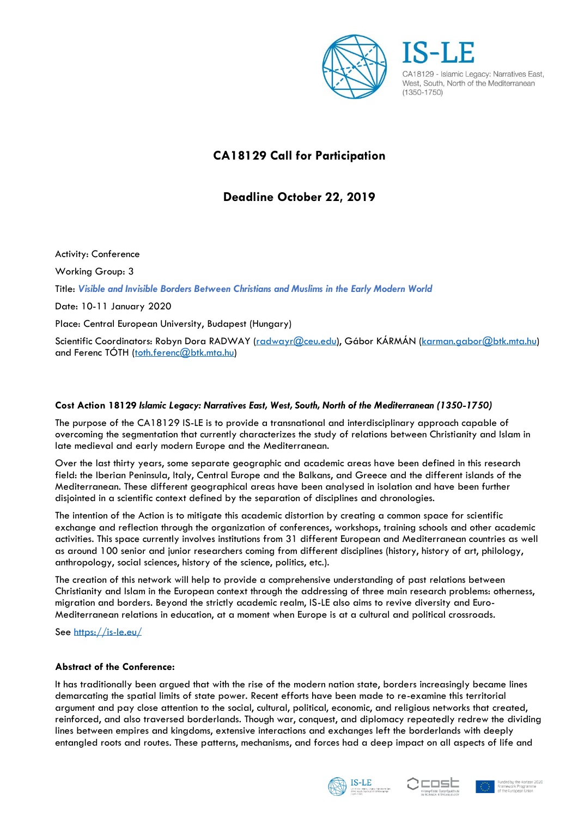

CA18129 - Islamic Legacy: Narratives East, West. South. North of the Mediterranean  $(1350 - 1750)$ 

# **CA18129 Call for Participation**

## **Deadline October 22, 2019**

Activity: Conference Working Group: 3 Title: *Visible and Invisible Borders Between Christians and Muslims in the Early Modern World* Date: 10-11 January 2020 Place: Central European University, Budapest (Hungary) Scientific Coordinators: Robyn Dora RADWAY [\(radwayr@ceu.edu\)](mailto:radwayr@ceu.edu), Gábor KÁRMÁN [\(karman.gabor@btk.mta.hu\)](mailto:karman.gabor@btk.mta.hu) and Ferenc TÓTH ([toth.ferenc@btk.mta.hu\)](mailto:toth.ferenc@btk.mta.hu)

## **Cost Action 18129** *Islamic Legacy: Narratives East, West, South, North of the Mediterranean (1350-1750)*

The purpose of the CA18129 IS-LE is to provide a transnational and interdisciplinary approach capable of overcoming the segmentation that currently characterizes the study of relations between Christianity and Islam in late medieval and early modern Europe and the Mediterranean.

Over the last thirty years, some separate geographic and academic areas have been defined in this research field: the Iberian Peninsula, Italy, Central Europe and the Balkans, and Greece and the different islands of the Mediterranean. These different geographical areas have been analysed in isolation and have been further disjointed in a scientific context defined by the separation of disciplines and chronologies.

The intention of the Action is to mitigate this academic distortion by creating a common space for scientific exchange and reflection through the organization of conferences, workshops, training schools and other academic activities. This space currently involves institutions from 31 different European and Mediterranean countries as well as around 100 senior and junior researchers coming from different disciplines (history, history of art, philology, anthropology, social sciences, history of the science, politics, etc.).

The creation of this network will help to provide a comprehensive understanding of past relations between Christianity and Islam in the European context through the addressing of three main research problems: otherness, migration and borders. Beyond the strictly academic realm, IS-LE also aims to revive diversity and Euro-Mediterranean relations in education, at a moment when Europe is at a cultural and political crossroads.

See<https://is-le.eu/>

### **Abstract of the Conference:**

It has traditionally been argued that with the rise of the modern nation state, borders increasingly became lines demarcating the spatial limits of state power. Recent efforts have been made to re-examine this territorial argument and pay close attention to the social, cultural, political, economic, and religious networks that created, reinforced, and also traversed borderlands. Though war, conquest, and diplomacy repeatedly redrew the dividing lines between empires and kingdoms, extensive interactions and exchanges left the borderlands with deeply entangled roots and routes. These patterns, mechanisms, and forces had a deep impact on all aspects of life and